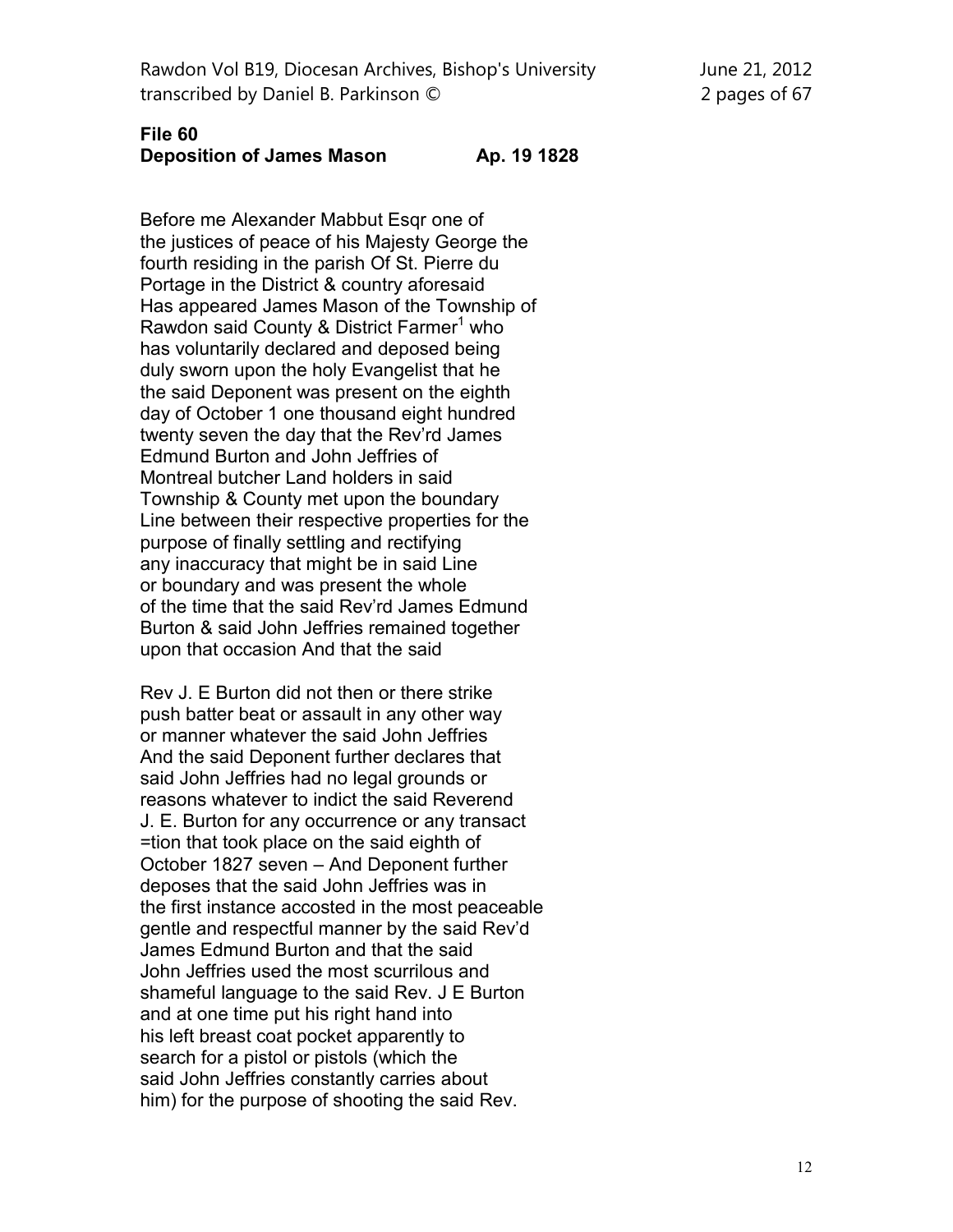Rawdon Vol B19, Diocesan Archives, Bishop's University June 21, 2012 transcribed by Daniel B. Parkinson © 2 pages of 67

## **File 60 Deposition of James Mason Ap. 19 1828**

Before me Alexander Mabbut Esqr one of the justices of peace of his Majesty George the fourth residing in the parish Of St. Pierre du Portage in the District & country aforesaid Has appeared James Mason of the Township of Rawdon said County & District Farmer<sup>1</sup> who has voluntarily declared and deposed being duly sworn upon the holy Evangelist that he the said Deponent was present on the eighth day of October 1 one thousand eight hundred twenty seven the day that the Rev'rd James Edmund Burton and John Jeffries of Montreal butcher Land holders in said Township & County met upon the boundary Line between their respective properties for the purpose of finally settling and rectifying any inaccuracy that might be in said Line or boundary and was present the whole of the time that the said Rev'rd James Edmund Burton & said John Jeffries remained together upon that occasion And that the said

Rev J. E Burton did not then or there strike push batter beat or assault in any other way or manner whatever the said John Jeffries And the said Deponent further declares that said John Jeffries had no legal grounds or reasons whatever to indict the said Reverend J. E. Burton for any occurrence or any transact =tion that took place on the said eighth of October 1827 seven – And Deponent further deposes that the said John Jeffries was in the first instance accosted in the most peaceable gentle and respectful manner by the said Rev'd James Edmund Burton and that the said John Jeffries used the most scurrilous and shameful language to the said Rev. J E Burton and at one time put his right hand into his left breast coat pocket apparently to search for a pistol or pistols (which the said John Jeffries constantly carries about him) for the purpose of shooting the said Rev.